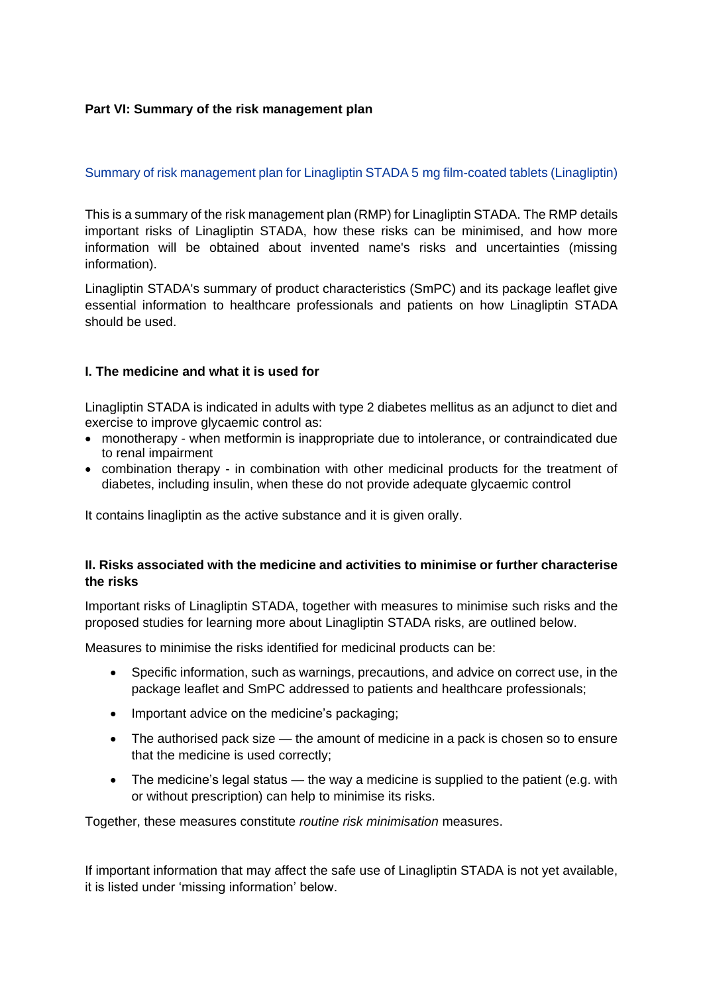## **Part VI: Summary of the risk management plan**

### Summary of risk management plan for Linagliptin STADA 5 mg film-coated tablets (Linagliptin)

This is a summary of the risk management plan (RMP) for Linagliptin STADA. The RMP details important risks of Linagliptin STADA, how these risks can be minimised, and how more information will be obtained about invented name's risks and uncertainties (missing information).

Linagliptin STADA's summary of product characteristics (SmPC) and its package leaflet give essential information to healthcare professionals and patients on how Linagliptin STADA should be used.

### **I. The medicine and what it is used for**

Linagliptin STADA is indicated in adults with type 2 diabetes mellitus as an adjunct to diet and exercise to improve glycaemic control as:

- monotherapy when metformin is inappropriate due to intolerance, or contraindicated due to renal impairment
- combination therapy in combination with other medicinal products for the treatment of diabetes, including insulin, when these do not provide adequate glycaemic control

It contains linagliptin as the active substance and it is given orally.

### **II. Risks associated with the medicine and activities to minimise or further characterise the risks**

Important risks of Linagliptin STADA, together with measures to minimise such risks and the proposed studies for learning more about Linagliptin STADA risks, are outlined below.

Measures to minimise the risks identified for medicinal products can be:

- Specific information, such as warnings, precautions, and advice on correct use, in the package leaflet and SmPC addressed to patients and healthcare professionals;
- Important advice on the medicine's packaging;
- The authorised pack size the amount of medicine in a pack is chosen so to ensure that the medicine is used correctly;
- The medicine's legal status the way a medicine is supplied to the patient (e.g. with or without prescription) can help to minimise its risks.

Together, these measures constitute *routine risk minimisation* measures.

If important information that may affect the safe use of Linagliptin STADA is not yet available, it is listed under 'missing information' below.